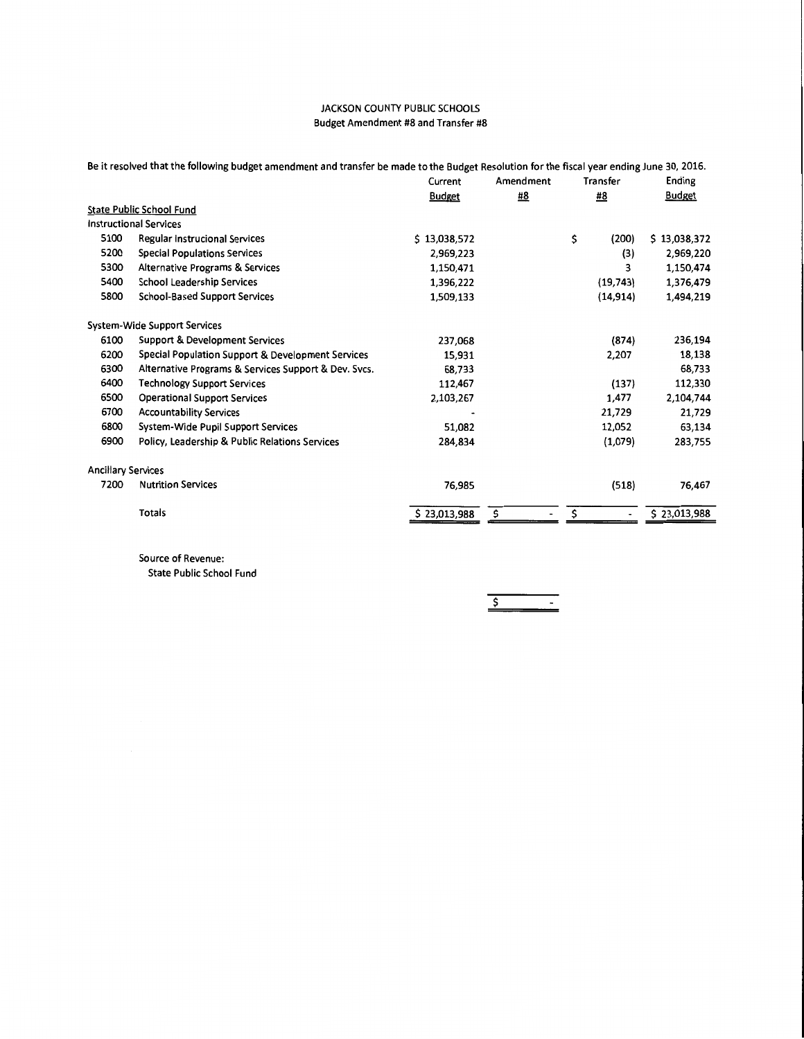|                           | Be it resolved that the following budget amendment and transfer be made to the Budget Resolution for the fiscal year ending June 30, 2016. |               |           |             |               |  |
|---------------------------|--------------------------------------------------------------------------------------------------------------------------------------------|---------------|-----------|-------------|---------------|--|
|                           |                                                                                                                                            | Current       | Amendment | Transfer    | Ending        |  |
|                           |                                                                                                                                            | <b>Budget</b> | <b>#8</b> | <u>#8</u>   | <b>Budget</b> |  |
|                           | <b>State Public School Fund</b>                                                                                                            |               |           |             |               |  |
|                           | <b>Instructional Services</b>                                                                                                              |               |           |             |               |  |
| 5100                      | <b>Regular Instrucional Services</b>                                                                                                       | \$13,038,572  |           | \$<br>(200) | \$13,038,372  |  |
| 5200                      | <b>Special Populations Services</b>                                                                                                        | 2,969,223     |           | (3)         | 2,969,220     |  |
| 5300                      | Alternative Programs & Services                                                                                                            | 1,150,471     |           | 3           | 1,150,474     |  |
| 5400                      | School Leadership Services                                                                                                                 | 1,396,222     |           | (19, 743)   | 1,376,479     |  |
| 5800                      | <b>School-Based Support Services</b>                                                                                                       | 1,509,133     |           | (14, 914)   | 1,494,219     |  |
|                           | <b>System-Wide Support Services</b>                                                                                                        |               |           |             |               |  |
| 6100                      | Support & Development Services                                                                                                             | 237,068       |           | (874)       | 236,194       |  |
| 6200                      | Special Population Support & Development Services                                                                                          | 15,931        |           | 2,207       | 18,138        |  |
| 6300                      | Alternative Programs & Services Support & Dev. Svcs.                                                                                       | 68,733        |           |             | 68,733        |  |
| 6400                      | <b>Technology Support Services</b>                                                                                                         | 112,467       |           | (137)       | 112,330       |  |
| 6500                      | <b>Operational Support Services</b>                                                                                                        | 2,103,267     |           | 1,477       | 2,104,744     |  |
| 6700                      | <b>Accountability Services</b>                                                                                                             |               |           | 21,729      | 21,729        |  |
| 6800                      | System-Wide Pupil Support Services                                                                                                         | 51,082        |           | 12,052      | 63,134        |  |
| 6900                      | Policy, Leadership & Public Relations Services                                                                                             | 284,834       |           | (1,079)     | 283,755       |  |
| <b>Ancillary Services</b> |                                                                                                                                            |               |           |             |               |  |
| 7200                      | <b>Nutrition Services</b>                                                                                                                  | 76,985        |           | (518)       | 76,467        |  |
|                           | <b>Totals</b>                                                                                                                              | \$23,013,988  | \$        | \$          | \$23,013,988  |  |
|                           |                                                                                                                                            |               |           |             |               |  |

Source of Revenue:

State Public School Fund

\$  $\blacksquare$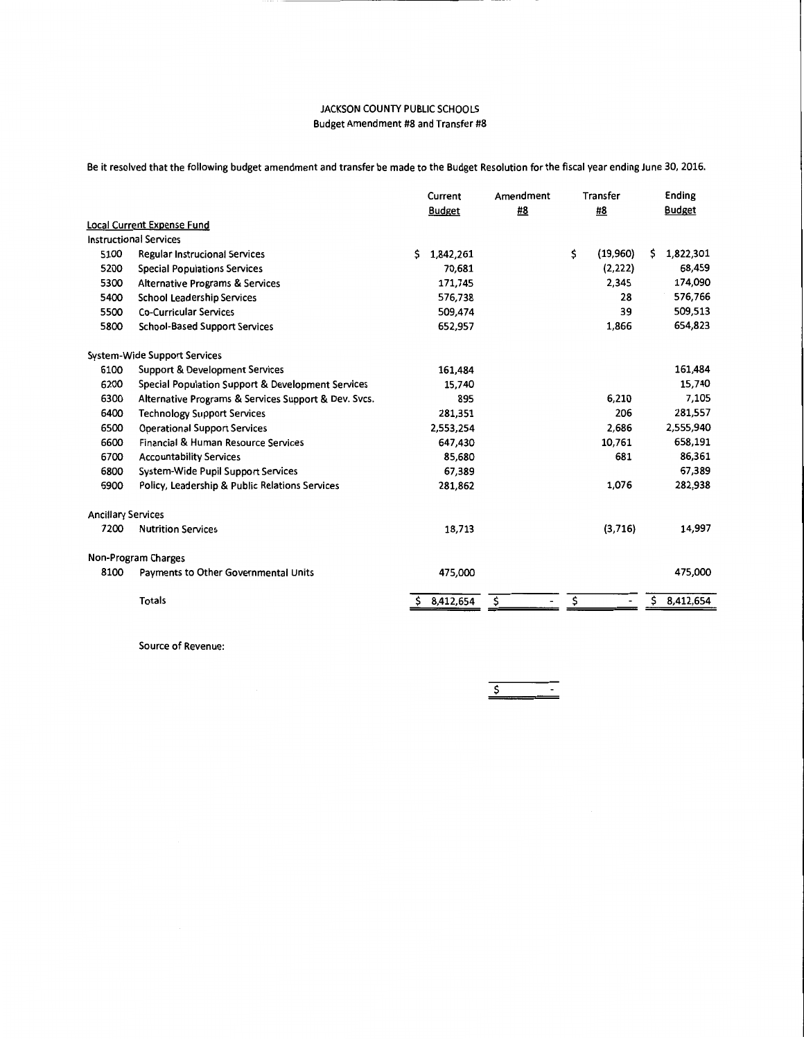Be it resolved that the following budget amendment and transfer be made to the Budget Resolution for the fiscal year ending June 30, 2016.

|                           |                                                      | Current |               | Amendment | Transfer |          | Ending        |           |
|---------------------------|------------------------------------------------------|---------|---------------|-----------|----------|----------|---------------|-----------|
|                           |                                                      |         | <b>Budget</b> | #8        | #8       |          | <b>Budget</b> |           |
|                           | <b>Local Current Expense Fund</b>                    |         |               |           |          |          |               |           |
|                           | <b>Instructional Services</b>                        |         |               |           |          |          |               |           |
| 5100                      | Regular Instrucional Services                        | Ś.      | 1,842,261     |           | \$       | (19,960) | S.            | 1,822,301 |
| 5200                      | Special Populations Services                         |         | 70,681        |           |          | (2,222)  |               | 68,459    |
| 5300                      | <b>Alternative Programs &amp; Services</b>           |         | 171,745       |           |          | 2,345    |               | 174,090   |
| 5400                      | <b>School Leadership Services</b>                    |         | 576,738       |           |          | 28       |               | 576,766   |
| 5500                      | <b>Co-Curricular Services</b>                        |         | 509,474       |           |          | 39       |               | 509,513   |
| 5800                      | <b>School-Based Support Services</b>                 |         | 652,957       |           |          | 1,866    |               | 654,823   |
|                           | System-Wide Support Services                         |         |               |           |          |          |               |           |
| 6100                      | Support & Development Services                       |         | 161,484       |           |          |          |               | 161,484   |
| 6200                      | Special Population Support & Development Services    |         | 15,740        |           |          |          |               | 15,740    |
| 6300                      | Alternative Programs & Services Support & Dev. Svcs. |         | 895           |           |          | 6,210    |               | 7,105     |
| 6400                      | <b>Technology Support Services</b>                   |         | 281,351       |           |          | 206      |               | 281,557   |
| 6500                      | <b>Operational Support Services</b>                  |         | 2,553,254     |           |          | 2,686    |               | 2,555,940 |
| 6600                      | Financial & Human Resource Services                  |         | 647,430       |           |          | 10,761   |               | 658,191   |
| 6700                      | <b>Accountability Services</b>                       |         | 85,680        |           |          | 681      |               | 86,361    |
| 6800                      | System-Wide Pupil Support Services                   |         | 67,389        |           |          |          |               | 67,389    |
| 6900                      | Policy, Leadership & Public Relations Services       |         | 281,862       |           |          | 1,076    |               | 282,938   |
| <b>Ancillary Services</b> |                                                      |         |               |           |          |          |               |           |
| 7200                      | <b>Nutrition Services</b>                            |         | 18,713        |           |          | (3,716)  |               | 14,997    |
|                           | Non-Program Charges                                  |         |               |           |          |          |               |           |
| 8100                      | Payments to Other Governmental Units                 |         | 475,000       |           |          |          |               | 475,000   |
|                           | <b>Totals</b>                                        | \$      | 8,412,654     | \$        | \$       |          | \$            | 8,412,654 |

Source of Revenue:

\$  $\sim$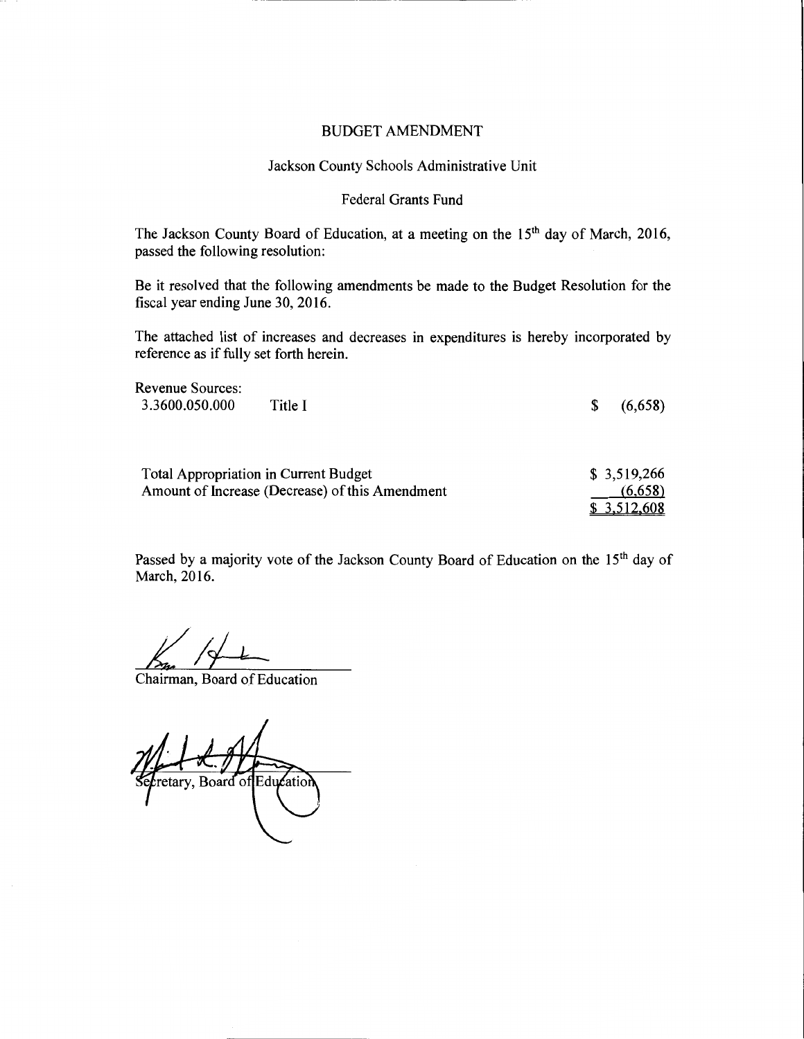# BUDGET AMENDMENT

# Jackson County Schools Administrative Unit

## Federal Grants Fund

The Jackson County Board of Education, at a meeting on the 15<sup>th</sup> day of March, 2016, passed the following resolution:

Be it resolved that the following amendments be made to the Budget Resolution for the fiscal year ending June 30, 2016.

The attached list of increases and decreases in expenditures is hereby incorporated by reference as if fully set forth herein.

| Revenue Sources:<br>3.3600.050.000 | Title I                                                                                  | \$<br>(6,658)          |
|------------------------------------|------------------------------------------------------------------------------------------|------------------------|
|                                    |                                                                                          |                        |
|                                    | Total Appropriation in Current Budget<br>Amount of Increase (Decrease) of this Amendment | \$3,519,266<br>(6,658) |
|                                    |                                                                                          | \$3,512,608            |

Passed by a majority vote of the Jackson County Board of Education on the 15<sup>th</sup> day of March, 2016.

Chairman, Board of Education

retary, Board of Education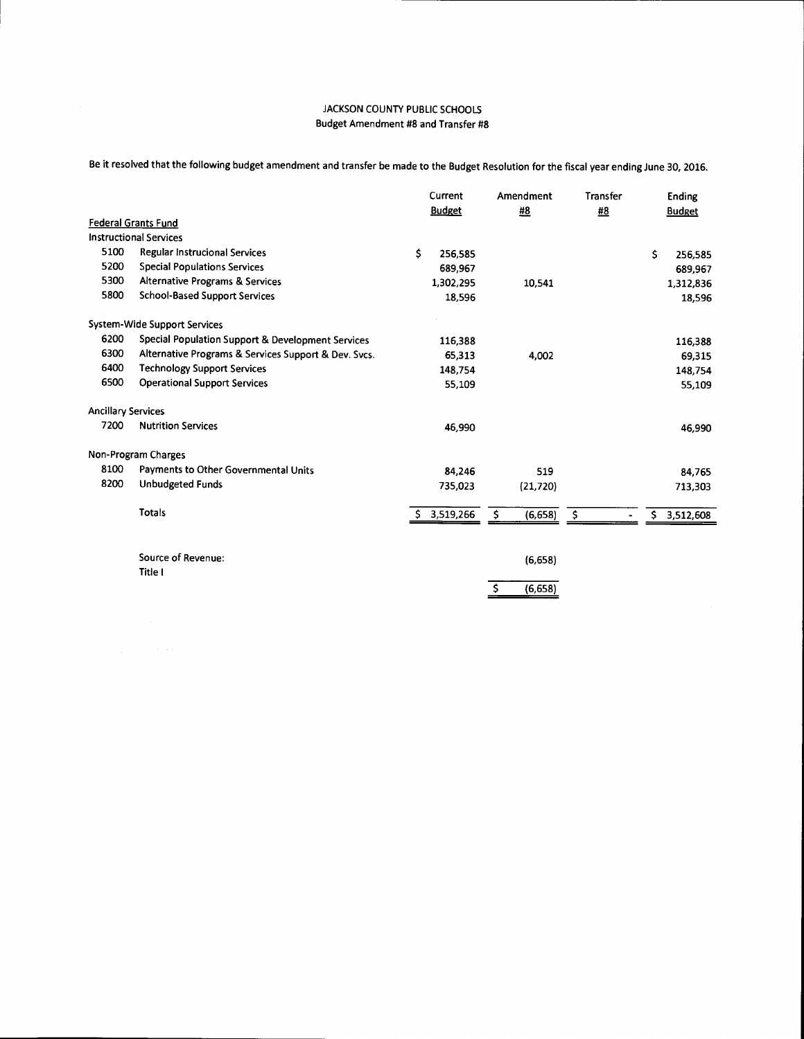Be it resolved that the following budget amendment and transfer be made to the Budget Resolution for the fiscal year ending June 30, 2016.

|                           |                                                      | Current<br><b>Budget</b> |             | Amendment      | Transfer | Ending<br><b>Budget</b> |         |
|---------------------------|------------------------------------------------------|--------------------------|-------------|----------------|----------|-------------------------|---------|
|                           |                                                      |                          |             | #8             | #8       |                         |         |
|                           | <b>Federal Grants Fund</b>                           |                          |             |                |          |                         |         |
|                           | <b>Instructional Services</b>                        |                          |             |                |          |                         |         |
| 5100                      | Regular Instrucional Services                        | \$                       | 256,585     |                |          | \$                      | 256,585 |
| 5200                      | <b>Special Populations Services</b>                  |                          | 689,967     |                |          |                         | 689,967 |
| 5300                      | <b>Alternative Programs &amp; Services</b>           |                          | 1,302,295   | 10,541         |          | 1,312,836               |         |
| 5800                      | <b>School-Based Support Services</b>                 |                          | 18,596      |                |          |                         | 18,596  |
|                           | <b>System-Wide Support Services</b>                  |                          |             |                |          |                         |         |
| 6200                      | Special Population Support & Development Services    |                          | 116,388     |                |          |                         | 116,388 |
| 6300                      | Alternative Programs & Services Support & Dev. Svcs. |                          | 65,313      | 4,002          |          |                         | 69,315  |
| 6400                      | <b>Technology Support Services</b>                   |                          | 148,754     |                |          |                         | 148,754 |
| 6500                      | <b>Operational Support Services</b>                  |                          | 55,109      |                |          |                         | 55,109  |
| <b>Ancillary Services</b> |                                                      |                          |             |                |          |                         |         |
| 7200                      | <b>Nutrition Services</b>                            |                          | 46,990      |                |          |                         | 46,990  |
|                           | Non-Program Charges                                  |                          |             |                |          |                         |         |
| 8100                      | Payments to Other Governmental Units                 |                          | 84,246      | 519            |          |                         | 84,765  |
| 8200                      | <b>Unbudgeted Funds</b>                              |                          | 735,023     | (21, 720)      |          |                         | 713,303 |
|                           | <b>Totals</b>                                        |                          | \$3,519,266 | \$<br>(6, 658) | \$       | \$<br>3,512,608         |         |
|                           | Source of Revenue:                                   |                          |             |                |          |                         |         |
|                           | Title I                                              |                          |             | (6,658)        |          |                         |         |
|                           |                                                      |                          |             | (6,658)        |          |                         |         |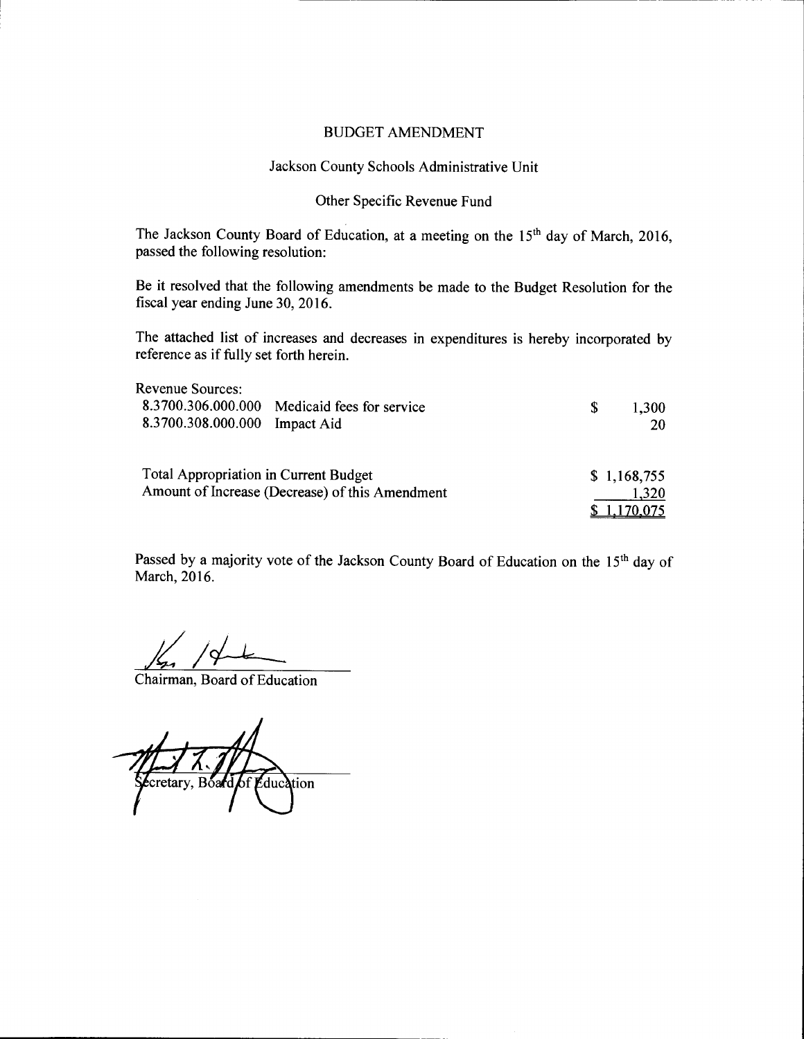# BUDGET AMENDMENT

# Jackson County Schools Administrative Unit

# Other Specific Revenue Fund

The Jackson County Board of Education, at a meeting on the 15<sup>th</sup> day of March, 2016, passed the following resolution:

Be it resolved that the following amendments be made to the Budget Resolution for the fiscal year ending June 30, 2016.

The attached list of increases and decreases in expenditures is hereby incorporated by reference as if fully set forth herein.

| Revenue Sources:                      |                                                 |   |             |
|---------------------------------------|-------------------------------------------------|---|-------------|
|                                       | 8.3700.306.000.000 Medicaid fees for service    | S | 1,300       |
| 8.3700.308.000.000 Impact Aid         |                                                 |   | 20          |
| Total Appropriation in Current Budget |                                                 |   | \$1,168,755 |
|                                       | Amount of Increase (Decrease) of this Amendment |   | 1,320       |
|                                       |                                                 |   |             |

Passed by a majority vote of the Jackson County Board of Education on the 15<sup>th</sup> day of March, 2016.

Chairman, Board of Education

 $\ell$ cretary, Board of Education